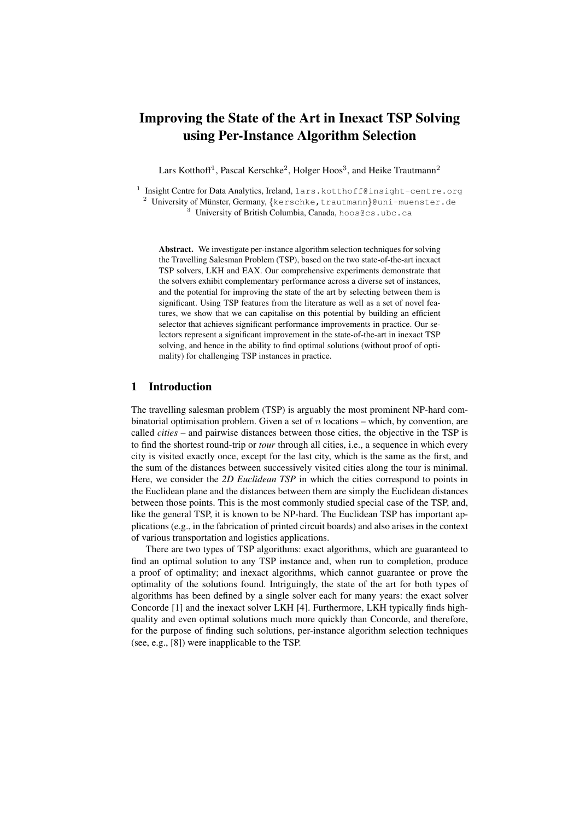# Improving the State of the Art in Inexact TSP Solving using Per-Instance Algorithm Selection

Lars Kotthoff<sup>1</sup>, Pascal Kerschke<sup>2</sup>, Holger Hoos<sup>3</sup>, and Heike Trautmann<sup>2</sup>

<sup>1</sup> Insight Centre for Data Analytics, Ireland, lars.kotthoff@insight-centre.org <sup>2</sup> University of Münster, Germany, {kerschke, trautmann}@uni-muenster.de <sup>3</sup> University of British Columbia, Canada, hoos@cs.ubc.ca

Abstract. We investigate per-instance algorithm selection techniques for solving the Travelling Salesman Problem (TSP), based on the two state-of-the-art inexact TSP solvers, LKH and EAX. Our comprehensive experiments demonstrate that the solvers exhibit complementary performance across a diverse set of instances, and the potential for improving the state of the art by selecting between them is significant. Using TSP features from the literature as well as a set of novel features, we show that we can capitalise on this potential by building an efficient selector that achieves significant performance improvements in practice. Our selectors represent a significant improvement in the state-of-the-art in inexact TSP solving, and hence in the ability to find optimal solutions (without proof of optimality) for challenging TSP instances in practice.

## 1 Introduction

The travelling salesman problem (TSP) is arguably the most prominent NP-hard combinatorial optimisation problem. Given a set of *n* locations – which, by convention, are called *cities* – and pairwise distances between those cities, the objective in the TSP is to find the shortest round-trip or *tour* through all cities, i.e., a sequence in which every city is visited exactly once, except for the last city, which is the same as the first, and the sum of the distances between successively visited cities along the tour is minimal. Here, we consider the *2D Euclidean TSP* in which the cities correspond to points in the Euclidean plane and the distances between them are simply the Euclidean distances between those points. This is the most commonly studied special case of the TSP, and, like the general TSP, it is known to be NP-hard. The Euclidean TSP has important applications (e.g., in the fabrication of printed circuit boards) and also arises in the context of various transportation and logistics applications.

There are two types of TSP algorithms: exact algorithms, which are guaranteed to find an optimal solution to any TSP instance and, when run to completion, produce a proof of optimality; and inexact algorithms, which cannot guarantee or prove the optimality of the solutions found. Intriguingly, the state of the art for both types of algorithms has been defined by a single solver each for many years: the exact solver Concorde [1] and the inexact solver LKH [4]. Furthermore, LKH typically finds highquality and even optimal solutions much more quickly than Concorde, and therefore, for the purpose of finding such solutions, per-instance algorithm selection techniques (see, e.g., [8]) were inapplicable to the TSP.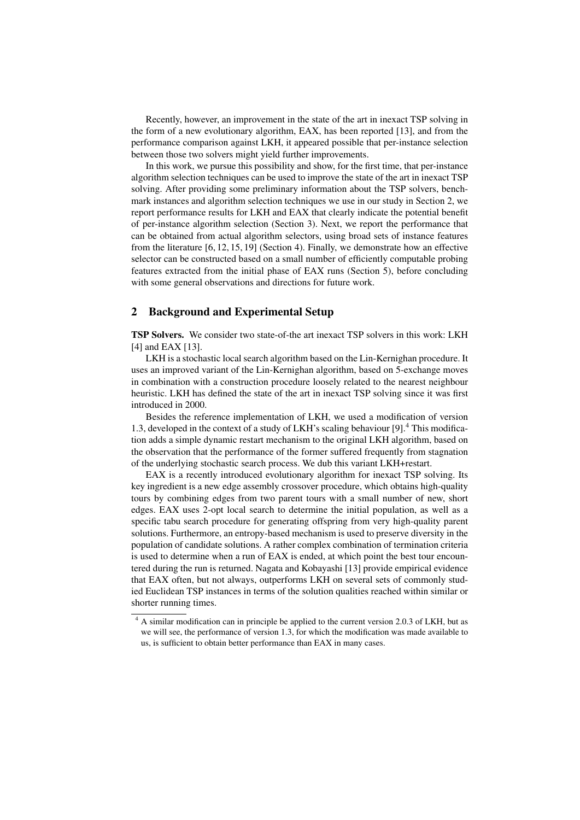Recently, however, an improvement in the state of the art in inexact TSP solving in the form of a new evolutionary algorithm, EAX, has been reported [13], and from the performance comparison against LKH, it appeared possible that per-instance selection between those two solvers might yield further improvements.

In this work, we pursue this possibility and show, for the first time, that per-instance algorithm selection techniques can be used to improve the state of the art in inexact TSP solving. After providing some preliminary information about the TSP solvers, benchmark instances and algorithm selection techniques we use in our study in Section 2, we report performance results for LKH and EAX that clearly indicate the potential benefit of per-instance algorithm selection (Section 3). Next, we report the performance that can be obtained from actual algorithm selectors, using broad sets of instance features from the literature [6, 12, 15, 19] (Section 4). Finally, we demonstrate how an effective selector can be constructed based on a small number of efficiently computable probing features extracted from the initial phase of EAX runs (Section 5), before concluding with some general observations and directions for future work.

### 2 Background and Experimental Setup

TSP Solvers. We consider two state-of-the art inexact TSP solvers in this work: LKH [4] and EAX [13].

LKH is a stochastic local search algorithm based on the Lin-Kernighan procedure. It uses an improved variant of the Lin-Kernighan algorithm, based on 5-exchange moves in combination with a construction procedure loosely related to the nearest neighbour heuristic. LKH has defined the state of the art in inexact TSP solving since it was first introduced in 2000.

Besides the reference implementation of LKH, we used a modification of version 1.3, developed in the context of a study of LKH's scaling behaviour  $[9]$ .<sup>4</sup> This modification adds a simple dynamic restart mechanism to the original LKH algorithm, based on the observation that the performance of the former suffered frequently from stagnation of the underlying stochastic search process. We dub this variant LKH+restart.

EAX is a recently introduced evolutionary algorithm for inexact TSP solving. Its key ingredient is a new edge assembly crossover procedure, which obtains high-quality tours by combining edges from two parent tours with a small number of new, short edges. EAX uses 2-opt local search to determine the initial population, as well as a specific tabu search procedure for generating offspring from very high-quality parent solutions. Furthermore, an entropy-based mechanism is used to preserve diversity in the population of candidate solutions. A rather complex combination of termination criteria is used to determine when a run of EAX is ended, at which point the best tour encountered during the run is returned. Nagata and Kobayashi [13] provide empirical evidence that EAX often, but not always, outperforms LKH on several sets of commonly studied Euclidean TSP instances in terms of the solution qualities reached within similar or shorter running times.

<sup>4</sup> A similar modification can in principle be applied to the current version 2.0.3 of LKH, but as we will see, the performance of version 1.3, for which the modification was made available to us, is sufficient to obtain better performance than EAX in many cases.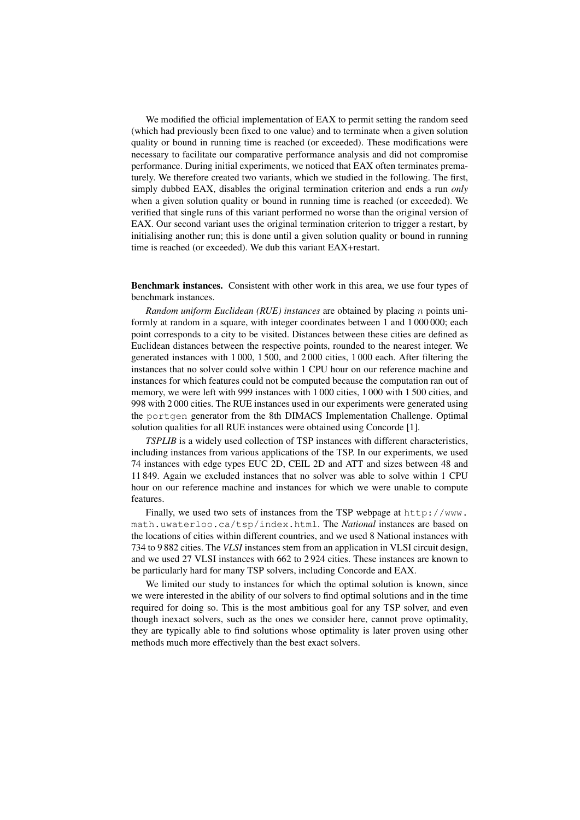We modified the official implementation of EAX to permit setting the random seed (which had previously been fixed to one value) and to terminate when a given solution quality or bound in running time is reached (or exceeded). These modifications were necessary to facilitate our comparative performance analysis and did not compromise performance. During initial experiments, we noticed that EAX often terminates prematurely. We therefore created two variants, which we studied in the following. The first, simply dubbed EAX, disables the original termination criterion and ends a run *only* when a given solution quality or bound in running time is reached (or exceeded). We verified that single runs of this variant performed no worse than the original version of EAX. Our second variant uses the original termination criterion to trigger a restart, by initialising another run; this is done until a given solution quality or bound in running time is reached (or exceeded). We dub this variant EAX+restart.

Benchmark instances. Consistent with other work in this area, we use four types of benchmark instances.

*Random uniform Euclidean (RUE) instances* are obtained by placing *n* points uniformly at random in a square, with integer coordinates between 1 and 1 000 000; each point corresponds to a city to be visited. Distances between these cities are defined as Euclidean distances between the respective points, rounded to the nearest integer. We generated instances with 1 000, 1 500, and 2 000 cities, 1 000 each. After filtering the instances that no solver could solve within 1 CPU hour on our reference machine and instances for which features could not be computed because the computation ran out of memory, we were left with 999 instances with 1 000 cities, 1 000 with 1 500 cities, and 998 with 2 000 cities. The RUE instances used in our experiments were generated using the portgen generator from the 8th DIMACS Implementation Challenge. Optimal solution qualities for all RUE instances were obtained using Concorde [1].

*TSPLIB* is a widely used collection of TSP instances with different characteristics, including instances from various applications of the TSP. In our experiments, we used 74 instances with edge types EUC 2D, CEIL 2D and ATT and sizes between 48 and 11 849. Again we excluded instances that no solver was able to solve within 1 CPU hour on our reference machine and instances for which we were unable to compute features.

Finally, we used two sets of instances from the TSP webpage at http://www. math.uwaterloo.ca/tsp/index.html. The *National* instances are based on the locations of cities within different countries, and we used 8 National instances with 734 to 9 882 cities. The *VLSI* instances stem from an application in VLSI circuit design, and we used 27 VLSI instances with 662 to 2 924 cities. These instances are known to be particularly hard for many TSP solvers, including Concorde and EAX.

We limited our study to instances for which the optimal solution is known, since we were interested in the ability of our solvers to find optimal solutions and in the time required for doing so. This is the most ambitious goal for any TSP solver, and even though inexact solvers, such as the ones we consider here, cannot prove optimality, they are typically able to find solutions whose optimality is later proven using other methods much more effectively than the best exact solvers.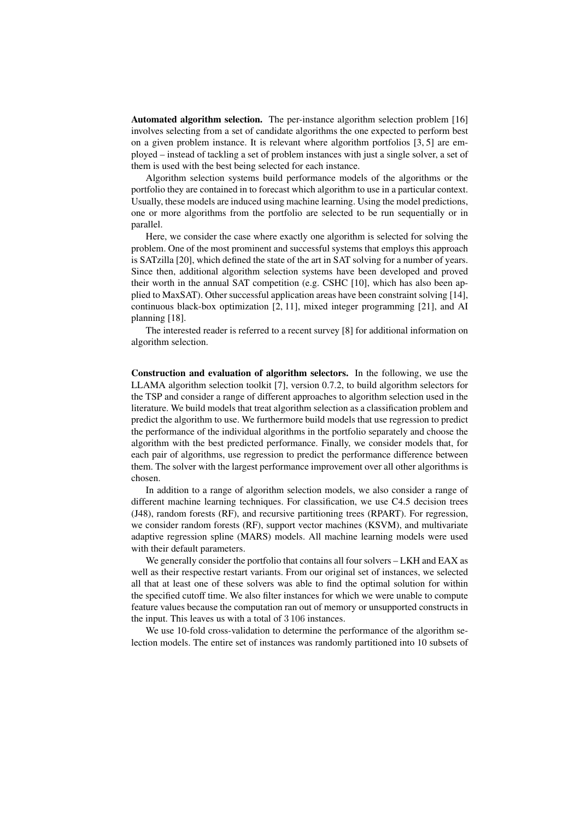Automated algorithm selection. The per-instance algorithm selection problem [16] involves selecting from a set of candidate algorithms the one expected to perform best on a given problem instance. It is relevant where algorithm portfolios [3, 5] are employed – instead of tackling a set of problem instances with just a single solver, a set of them is used with the best being selected for each instance.

Algorithm selection systems build performance models of the algorithms or the portfolio they are contained in to forecast which algorithm to use in a particular context. Usually, these models are induced using machine learning. Using the model predictions, one or more algorithms from the portfolio are selected to be run sequentially or in parallel.

Here, we consider the case where exactly one algorithm is selected for solving the problem. One of the most prominent and successful systems that employs this approach is SATzilla [20], which defined the state of the art in SAT solving for a number of years. Since then, additional algorithm selection systems have been developed and proved their worth in the annual SAT competition (e.g. CSHC [10], which has also been applied to MaxSAT). Other successful application areas have been constraint solving [14], continuous black-box optimization [2, 11], mixed integer programming [21], and AI planning [18].

The interested reader is referred to a recent survey [8] for additional information on algorithm selection.

Construction and evaluation of algorithm selectors. In the following, we use the LLAMA algorithm selection toolkit [7], version 0.7.2, to build algorithm selectors for the TSP and consider a range of different approaches to algorithm selection used in the literature. We build models that treat algorithm selection as a classification problem and predict the algorithm to use. We furthermore build models that use regression to predict the performance of the individual algorithms in the portfolio separately and choose the algorithm with the best predicted performance. Finally, we consider models that, for each pair of algorithms, use regression to predict the performance difference between them. The solver with the largest performance improvement over all other algorithms is chosen.

In addition to a range of algorithm selection models, we also consider a range of different machine learning techniques. For classification, we use C4.5 decision trees (J48), random forests (RF), and recursive partitioning trees (RPART). For regression, we consider random forests (RF), support vector machines (KSVM), and multivariate adaptive regression spline (MARS) models. All machine learning models were used with their default parameters.

We generally consider the portfolio that contains all four solvers – LKH and EAX as well as their respective restart variants. From our original set of instances, we selected all that at least one of these solvers was able to find the optimal solution for within the specified cutoff time. We also filter instances for which we were unable to compute feature values because the computation ran out of memory or unsupported constructs in the input. This leaves us with a total of 3 106 instances.

We use 10-fold cross-validation to determine the performance of the algorithm selection models. The entire set of instances was randomly partitioned into 10 subsets of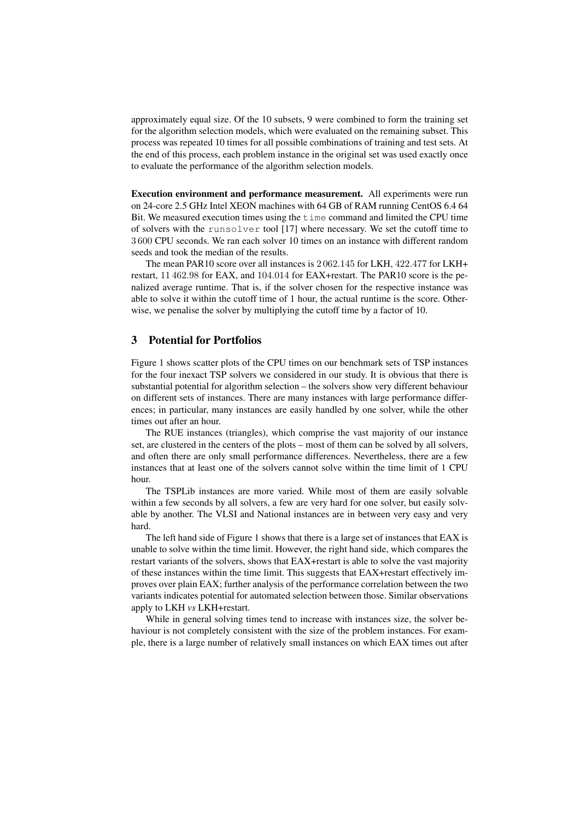approximately equal size. Of the 10 subsets, 9 were combined to form the training set for the algorithm selection models, which were evaluated on the remaining subset. This process was repeated 10 times for all possible combinations of training and test sets. At the end of this process, each problem instance in the original set was used exactly once to evaluate the performance of the algorithm selection models.

Execution environment and performance measurement. All experiments were run on 24-core 2.5 GHz Intel XEON machines with 64 GB of RAM running CentOS 6.4 64 Bit. We measured execution times using the time command and limited the CPU time of solvers with the runsolver tool [17] where necessary. We set the cutoff time to 3 600 CPU seconds. We ran each solver 10 times on an instance with different random seeds and took the median of the results.

The mean PAR10 score over all instances is 2 062*.*145 for LKH, 422*.*477 for LKH+ restart, 11 462*.*98 for EAX, and 104*.*014 for EAX+restart. The PAR10 score is the penalized average runtime. That is, if the solver chosen for the respective instance was able to solve it within the cutoff time of 1 hour, the actual runtime is the score. Otherwise, we penalise the solver by multiplying the cutoff time by a factor of 10.

# 3 Potential for Portfolios

Figure 1 shows scatter plots of the CPU times on our benchmark sets of TSP instances for the four inexact TSP solvers we considered in our study. It is obvious that there is substantial potential for algorithm selection – the solvers show very different behaviour on different sets of instances. There are many instances with large performance differences; in particular, many instances are easily handled by one solver, while the other times out after an hour.

The RUE instances (triangles), which comprise the vast majority of our instance set, are clustered in the centers of the plots – most of them can be solved by all solvers, and often there are only small performance differences. Nevertheless, there are a few instances that at least one of the solvers cannot solve within the time limit of 1 CPU hour.

The TSPLib instances are more varied. While most of them are easily solvable within a few seconds by all solvers, a few are very hard for one solver, but easily solvable by another. The VLSI and National instances are in between very easy and very hard.

The left hand side of Figure 1 shows that there is a large set of instances that EAX is unable to solve within the time limit. However, the right hand side, which compares the restart variants of the solvers, shows that EAX+restart is able to solve the vast majority of these instances within the time limit. This suggests that EAX+restart effectively improves over plain EAX; further analysis of the performance correlation between the two variants indicates potential for automated selection between those. Similar observations apply to LKH *vs* LKH+restart.

While in general solving times tend to increase with instances size, the solver behaviour is not completely consistent with the size of the problem instances. For example, there is a large number of relatively small instances on which EAX times out after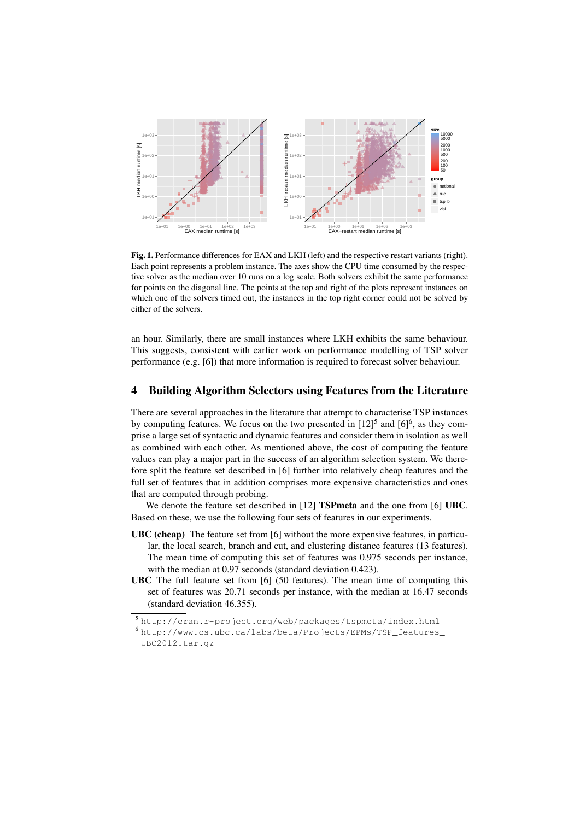

Fig. 1. Performance differences for EAX and LKH (left) and the respective restart variants (right). Each point represents a problem instance. The axes show the CPU time consumed by the respective solver as the median over 10 runs on a log scale. Both solvers exhibit the same performance for points on the diagonal line. The points at the top and right of the plots represent instances on which one of the solvers timed out, the instances in the top right corner could not be solved by either of the solvers.

an hour. Similarly, there are small instances where LKH exhibits the same behaviour. This suggests, consistent with earlier work on performance modelling of TSP solver performance (e.g. [6]) that more information is required to forecast solver behaviour.

### 4 Building Algorithm Selectors using Features from the Literature

There are several approaches in the literature that attempt to characterise TSP instances by computing features. We focus on the two presented in  $[12]$ <sup>5</sup> and  $[6]$ <sup>6</sup>, as they comprise a large set of syntactic and dynamic features and consider them in isolation as well as combined with each other. As mentioned above, the cost of computing the feature values can play a major part in the success of an algorithm selection system. We therefore split the feature set described in [6] further into relatively cheap features and the full set of features that in addition comprises more expensive characteristics and ones that are computed through probing.

We denote the feature set described in [12] **TSPmeta** and the one from [6] **UBC**. Based on these, we use the following four sets of features in our experiments.

- UBC (cheap) The feature set from [6] without the more expensive features, in particular, the local search, branch and cut, and clustering distance features (13 features). The mean time of computing this set of features was 0.975 seconds per instance, with the median at 0.97 seconds (standard deviation 0.423).
- UBC The full feature set from [6] (50 features). The mean time of computing this set of features was 20.71 seconds per instance, with the median at 16.47 seconds (standard deviation 46.355).

<sup>6</sup> http://www.cs.ubc.ca/labs/beta/Projects/EPMs/TSP\_features\_ UBC2012.tar.gz

<sup>5</sup> http://cran.r-project.org/web/packages/tspmeta/index.html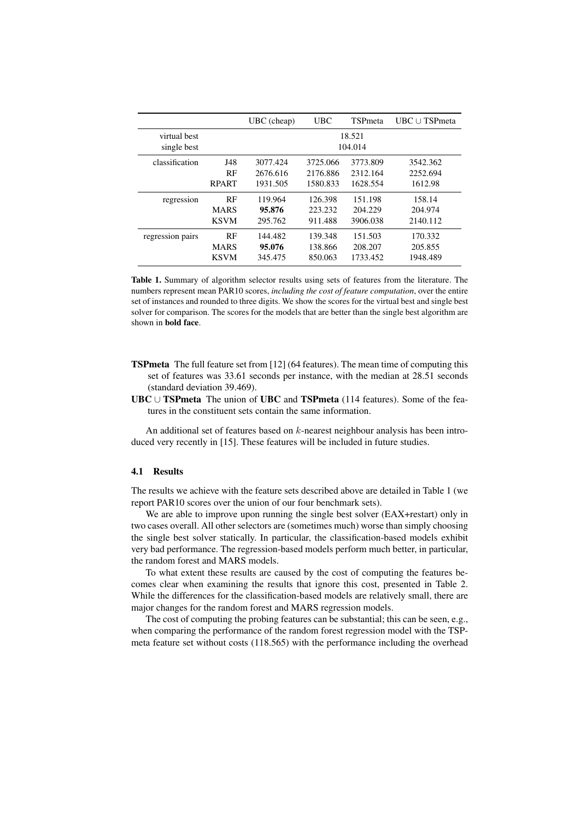|                             |              | UBC (cheap) | <b>UBC</b> | <b>TSPmeta</b>    | $UBC \cup TSPmeta$ |
|-----------------------------|--------------|-------------|------------|-------------------|--------------------|
| virtual best<br>single best |              |             |            | 18.521<br>104.014 |                    |
| classification              | J48          | 3077.424    | 3725.066   | 3773.809          | 3542.362           |
|                             | RF           | 2676.616    | 2176.886   | 2312.164          | 2252.694           |
|                             | <b>RPART</b> | 1931.505    | 1580.833   | 1628.554          | 1612.98            |
| regression                  | RF           | 119.964     | 126.398    | 151.198           | 158.14             |
|                             | <b>MARS</b>  | 95.876      | 223.232    | 204.229           | 204.974            |
|                             | <b>KSVM</b>  | 295.762     | 911.488    | 3906.038          | 2140.112           |
| regression pairs            | RF           | 144.482     | 139.348    | 151.503           | 170.332            |
|                             | <b>MARS</b>  | 95.076      | 138.866    | 208.207           | 205.855            |
|                             | <b>KSVM</b>  | 345.475     | 850.063    | 1733.452          | 1948.489           |

Table 1. Summary of algorithm selector results using sets of features from the literature. The numbers represent mean PAR10 scores, *including the cost of feature computation*, over the entire set of instances and rounded to three digits. We show the scores for the virtual best and single best solver for comparison. The scores for the models that are better than the single best algorithm are shown in bold face.

- TSPmeta The full feature set from [12] (64 features). The mean time of computing this set of features was 33.61 seconds per instance, with the median at 28.51 seconds (standard deviation 39.469).
- UBC ∪ TSPmeta The union of UBC and TSPmeta (114 features). Some of the features in the constituent sets contain the same information.

An additional set of features based on *k*-nearest neighbour analysis has been introduced very recently in [15]. These features will be included in future studies.

#### 4.1 Results

The results we achieve with the feature sets described above are detailed in Table 1 (we report PAR10 scores over the union of our four benchmark sets).

We are able to improve upon running the single best solver (EAX+restart) only in two cases overall. All other selectors are (sometimes much) worse than simply choosing the single best solver statically. In particular, the classification-based models exhibit very bad performance. The regression-based models perform much better, in particular, the random forest and MARS models.

To what extent these results are caused by the cost of computing the features becomes clear when examining the results that ignore this cost, presented in Table 2. While the differences for the classification-based models are relatively small, there are major changes for the random forest and MARS regression models.

The cost of computing the probing features can be substantial; this can be seen, e.g., when comparing the performance of the random forest regression model with the TSPmeta feature set without costs (118.565) with the performance including the overhead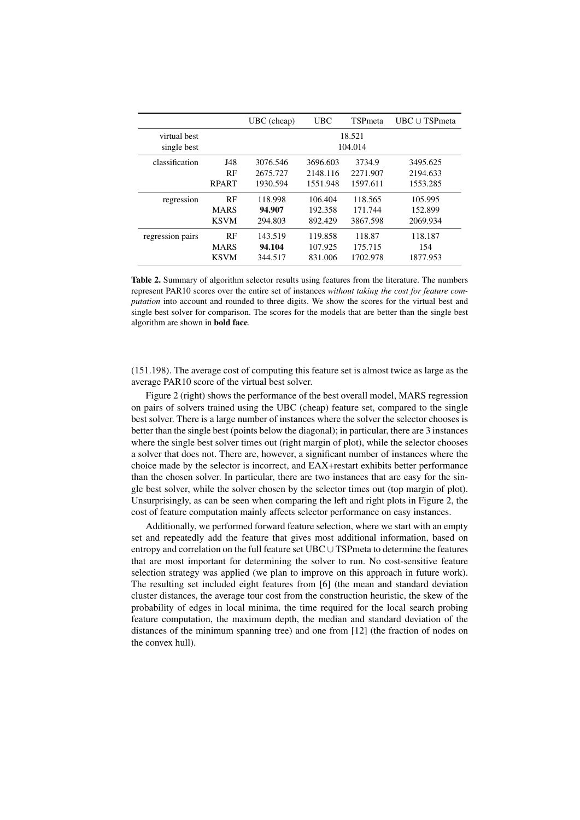|                             |              | $UBC$ (cheap)     | <b>UBC</b> | <b>TSPmeta</b> | $UBC \cup TSPmeta$ |
|-----------------------------|--------------|-------------------|------------|----------------|--------------------|
| virtual best<br>single best |              | 18.521<br>104.014 |            |                |                    |
| classification              | J48          | 3076.546          | 3696.603   | 3734.9         | 3495.625           |
|                             | RF           | 2675.727          | 2148.116   | 2271.907       | 2194.633           |
|                             | <b>RPART</b> | 1930.594          | 1551.948   | 1597.611       | 1553.285           |
| regression                  | RF           | 118.998           | 106.404    | 118.565        | 105.995            |
|                             | <b>MARS</b>  | 94.907            | 192.358    | 171.744        | 152.899            |
|                             | <b>KSVM</b>  | 294.803           | 892.429    | 3867.598       | 2069.934           |
| regression pairs            | RF           | 143.519           | 119.858    | 118.87         | 118.187            |
|                             | <b>MARS</b>  | 94.104            | 107.925    | 175.715        | 154                |
|                             | <b>KSVM</b>  | 344.517           | 831.006    | 1702.978       | 1877.953           |

Table 2. Summary of algorithm selector results using features from the literature. The numbers represent PAR10 scores over the entire set of instances *without taking the cost for feature computation* into account and rounded to three digits. We show the scores for the virtual best and single best solver for comparison. The scores for the models that are better than the single best algorithm are shown in bold face.

(151.198). The average cost of computing this feature set is almost twice as large as the average PAR10 score of the virtual best solver.

Figure 2 (right) shows the performance of the best overall model, MARS regression on pairs of solvers trained using the UBC (cheap) feature set, compared to the single best solver. There is a large number of instances where the solver the selector chooses is better than the single best (points below the diagonal); in particular, there are 3 instances where the single best solver times out (right margin of plot), while the selector chooses a solver that does not. There are, however, a significant number of instances where the choice made by the selector is incorrect, and EAX+restart exhibits better performance than the chosen solver. In particular, there are two instances that are easy for the single best solver, while the solver chosen by the selector times out (top margin of plot). Unsurprisingly, as can be seen when comparing the left and right plots in Figure 2, the cost of feature computation mainly affects selector performance on easy instances.

Additionally, we performed forward feature selection, where we start with an empty set and repeatedly add the feature that gives most additional information, based on entropy and correlation on the full feature set UBC *∪* TSPmeta to determine the features that are most important for determining the solver to run. No cost-sensitive feature selection strategy was applied (we plan to improve on this approach in future work). The resulting set included eight features from [6] (the mean and standard deviation cluster distances, the average tour cost from the construction heuristic, the skew of the probability of edges in local minima, the time required for the local search probing feature computation, the maximum depth, the median and standard deviation of the distances of the minimum spanning tree) and one from [12] (the fraction of nodes on the convex hull).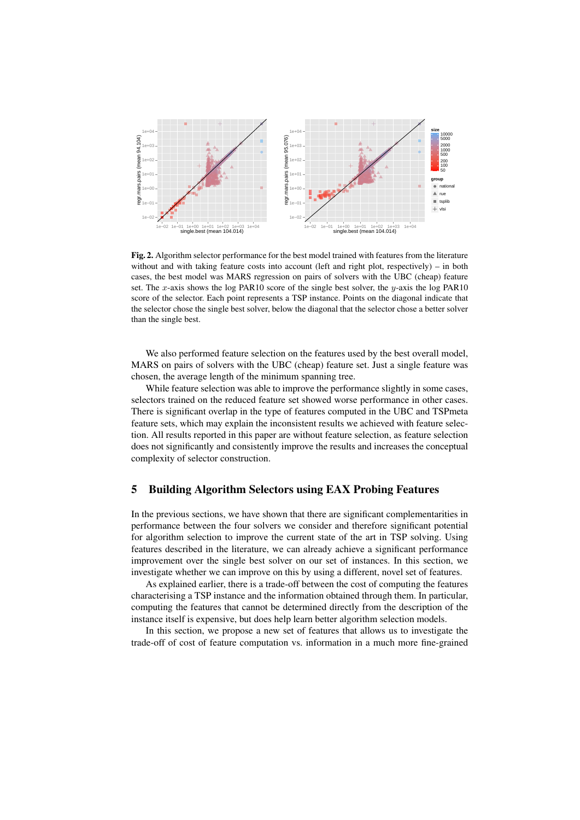

Fig. 2. Algorithm selector performance for the best model trained with features from the literature without and with taking feature costs into account (left and right plot, respectively) – in both cases, the best model was MARS regression on pairs of solvers with the UBC (cheap) feature set. The *x*-axis shows the log PAR10 score of the single best solver, the *y*-axis the log PAR10 score of the selector. Each point represents a TSP instance. Points on the diagonal indicate that the selector chose the single best solver, below the diagonal that the selector chose a better solver than the single best.

We also performed feature selection on the features used by the best overall model, MARS on pairs of solvers with the UBC (cheap) feature set. Just a single feature was chosen, the average length of the minimum spanning tree.

While feature selection was able to improve the performance slightly in some cases, selectors trained on the reduced feature set showed worse performance in other cases. There is significant overlap in the type of features computed in the UBC and TSPmeta feature sets, which may explain the inconsistent results we achieved with feature selection. All results reported in this paper are without feature selection, as feature selection does not significantly and consistently improve the results and increases the conceptual complexity of selector construction.

#### 5 Building Algorithm Selectors using EAX Probing Features

In the previous sections, we have shown that there are significant complementarities in performance between the four solvers we consider and therefore significant potential for algorithm selection to improve the current state of the art in TSP solving. Using features described in the literature, we can already achieve a significant performance improvement over the single best solver on our set of instances. In this section, we investigate whether we can improve on this by using a different, novel set of features.

As explained earlier, there is a trade-off between the cost of computing the features characterising a TSP instance and the information obtained through them. In particular, computing the features that cannot be determined directly from the description of the instance itself is expensive, but does help learn better algorithm selection models.

In this section, we propose a new set of features that allows us to investigate the trade-off of cost of feature computation vs. information in a much more fine-grained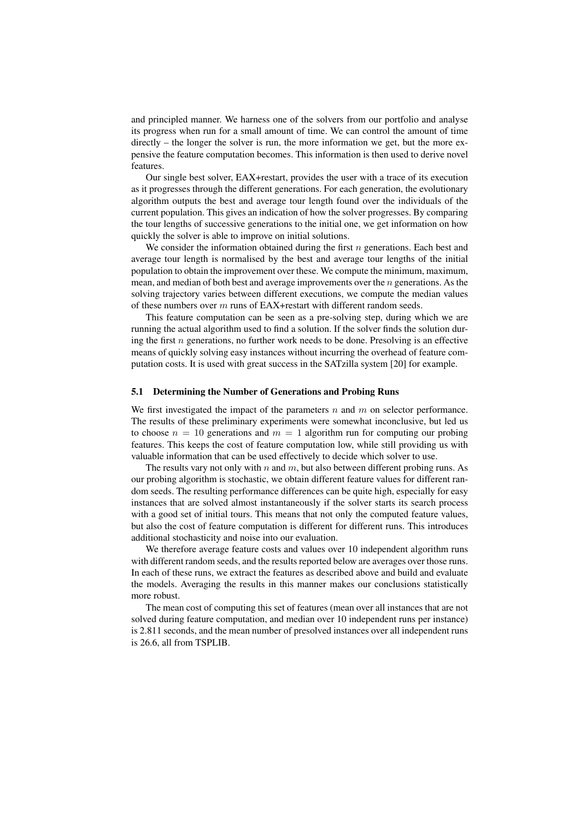and principled manner. We harness one of the solvers from our portfolio and analyse its progress when run for a small amount of time. We can control the amount of time directly – the longer the solver is run, the more information we get, but the more expensive the feature computation becomes. This information is then used to derive novel features.

Our single best solver, EAX+restart, provides the user with a trace of its execution as it progresses through the different generations. For each generation, the evolutionary algorithm outputs the best and average tour length found over the individuals of the current population. This gives an indication of how the solver progresses. By comparing the tour lengths of successive generations to the initial one, we get information on how quickly the solver is able to improve on initial solutions.

We consider the information obtained during the first *n* generations. Each best and average tour length is normalised by the best and average tour lengths of the initial population to obtain the improvement over these. We compute the minimum, maximum, mean, and median of both best and average improvements over the *n* generations. As the solving trajectory varies between different executions, we compute the median values of these numbers over *m* runs of EAX+restart with different random seeds.

This feature computation can be seen as a pre-solving step, during which we are running the actual algorithm used to find a solution. If the solver finds the solution during the first *n* generations, no further work needs to be done. Presolving is an effective means of quickly solving easy instances without incurring the overhead of feature computation costs. It is used with great success in the SATzilla system [20] for example.

#### 5.1 Determining the Number of Generations and Probing Runs

We first investigated the impact of the parameters *n* and *m* on selector performance. The results of these preliminary experiments were somewhat inconclusive, but led us to choose  $n = 10$  generations and  $m = 1$  algorithm run for computing our probing features. This keeps the cost of feature computation low, while still providing us with valuable information that can be used effectively to decide which solver to use.

The results vary not only with *n* and *m*, but also between different probing runs. As our probing algorithm is stochastic, we obtain different feature values for different random seeds. The resulting performance differences can be quite high, especially for easy instances that are solved almost instantaneously if the solver starts its search process with a good set of initial tours. This means that not only the computed feature values, but also the cost of feature computation is different for different runs. This introduces additional stochasticity and noise into our evaluation.

We therefore average feature costs and values over 10 independent algorithm runs with different random seeds, and the results reported below are averages over those runs. In each of these runs, we extract the features as described above and build and evaluate the models. Averaging the results in this manner makes our conclusions statistically more robust.

The mean cost of computing this set of features (mean over all instances that are not solved during feature computation, and median over 10 independent runs per instance) is 2.811 seconds, and the mean number of presolved instances over all independent runs is 26.6, all from TSPLIB.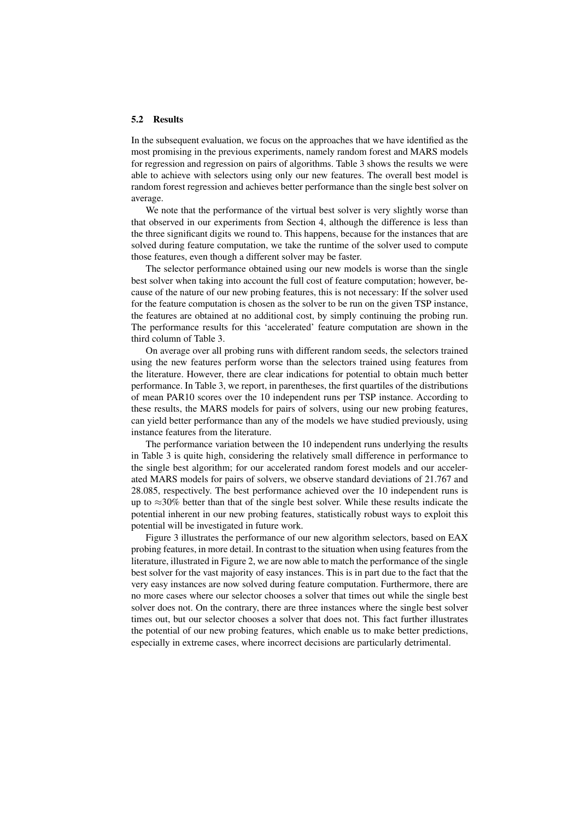#### 5.2 Results

In the subsequent evaluation, we focus on the approaches that we have identified as the most promising in the previous experiments, namely random forest and MARS models for regression and regression on pairs of algorithms. Table 3 shows the results we were able to achieve with selectors using only our new features. The overall best model is random forest regression and achieves better performance than the single best solver on average.

We note that the performance of the virtual best solver is very slightly worse than that observed in our experiments from Section 4, although the difference is less than the three significant digits we round to. This happens, because for the instances that are solved during feature computation, we take the runtime of the solver used to compute those features, even though a different solver may be faster.

The selector performance obtained using our new models is worse than the single best solver when taking into account the full cost of feature computation; however, because of the nature of our new probing features, this is not necessary: If the solver used for the feature computation is chosen as the solver to be run on the given TSP instance, the features are obtained at no additional cost, by simply continuing the probing run. The performance results for this 'accelerated' feature computation are shown in the third column of Table 3.

On average over all probing runs with different random seeds, the selectors trained using the new features perform worse than the selectors trained using features from the literature. However, there are clear indications for potential to obtain much better performance. In Table 3, we report, in parentheses, the first quartiles of the distributions of mean PAR10 scores over the 10 independent runs per TSP instance. According to these results, the MARS models for pairs of solvers, using our new probing features, can yield better performance than any of the models we have studied previously, using instance features from the literature.

The performance variation between the 10 independent runs underlying the results in Table 3 is quite high, considering the relatively small difference in performance to the single best algorithm; for our accelerated random forest models and our accelerated MARS models for pairs of solvers, we observe standard deviations of 21.767 and 28.085, respectively. The best performance achieved over the 10 independent runs is up to *≈*30% better than that of the single best solver. While these results indicate the potential inherent in our new probing features, statistically robust ways to exploit this potential will be investigated in future work.

Figure 3 illustrates the performance of our new algorithm selectors, based on EAX probing features, in more detail. In contrast to the situation when using features from the literature, illustrated in Figure 2, we are now able to match the performance of the single best solver for the vast majority of easy instances. This is in part due to the fact that the very easy instances are now solved during feature computation. Furthermore, there are no more cases where our selector chooses a solver that times out while the single best solver does not. On the contrary, there are three instances where the single best solver times out, but our selector chooses a solver that does not. This fact further illustrates the potential of our new probing features, which enable us to make better predictions, especially in extreme cases, where incorrect decisions are particularly detrimental.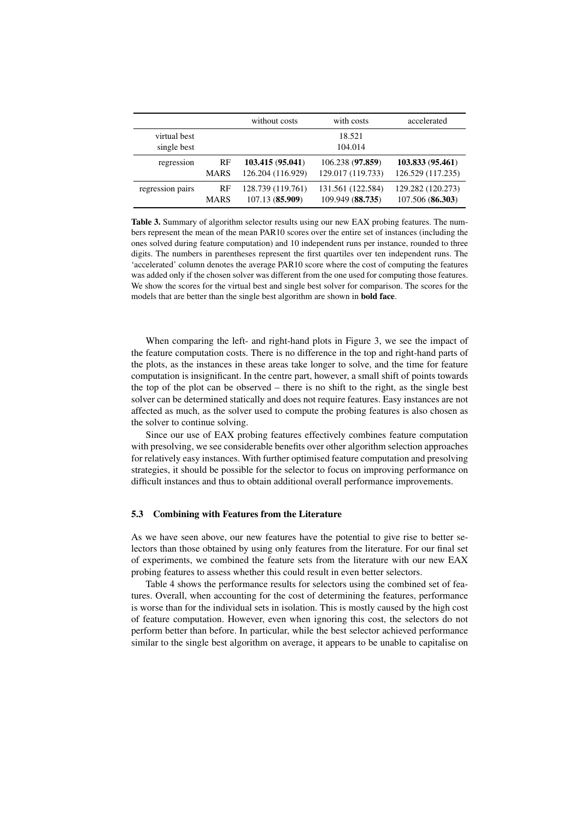|                             |             | without costs     | with costs        | accelerated       |
|-----------------------------|-------------|-------------------|-------------------|-------------------|
| virtual best<br>single best |             |                   | 18.521<br>104.014 |                   |
| regression                  | RF          | 103.415 (95.041)  | 106.238 (97.859)  | 103.833 (95.461)  |
|                             | <b>MARS</b> | 126.204 (116.929) | 129.017 (119.733) | 126.529 (117.235) |
| regression pairs            | RF          | 128.739 (119.761) | 131.561 (122.584) | 129.282 (120.273) |
|                             | <b>MARS</b> | 107.13 (85.909)   | 109.949 (88.735)  | 107.506 (86.303)  |

Table 3. Summary of algorithm selector results using our new EAX probing features. The numbers represent the mean of the mean PAR10 scores over the entire set of instances (including the ones solved during feature computation) and 10 independent runs per instance, rounded to three digits. The numbers in parentheses represent the first quartiles over ten independent runs. The 'accelerated' column denotes the average PAR10 score where the cost of computing the features was added only if the chosen solver was different from the one used for computing those features. We show the scores for the virtual best and single best solver for comparison. The scores for the models that are better than the single best algorithm are shown in bold face.

When comparing the left- and right-hand plots in Figure 3, we see the impact of the feature computation costs. There is no difference in the top and right-hand parts of the plots, as the instances in these areas take longer to solve, and the time for feature computation is insignificant. In the centre part, however, a small shift of points towards the top of the plot can be observed – there is no shift to the right, as the single best solver can be determined statically and does not require features. Easy instances are not affected as much, as the solver used to compute the probing features is also chosen as the solver to continue solving.

Since our use of EAX probing features effectively combines feature computation with presolving, we see considerable benefits over other algorithm selection approaches for relatively easy instances. With further optimised feature computation and presolving strategies, it should be possible for the selector to focus on improving performance on difficult instances and thus to obtain additional overall performance improvements.

#### 5.3 Combining with Features from the Literature

As we have seen above, our new features have the potential to give rise to better selectors than those obtained by using only features from the literature. For our final set of experiments, we combined the feature sets from the literature with our new EAX probing features to assess whether this could result in even better selectors.

Table 4 shows the performance results for selectors using the combined set of features. Overall, when accounting for the cost of determining the features, performance is worse than for the individual sets in isolation. This is mostly caused by the high cost of feature computation. However, even when ignoring this cost, the selectors do not perform better than before. In particular, while the best selector achieved performance similar to the single best algorithm on average, it appears to be unable to capitalise on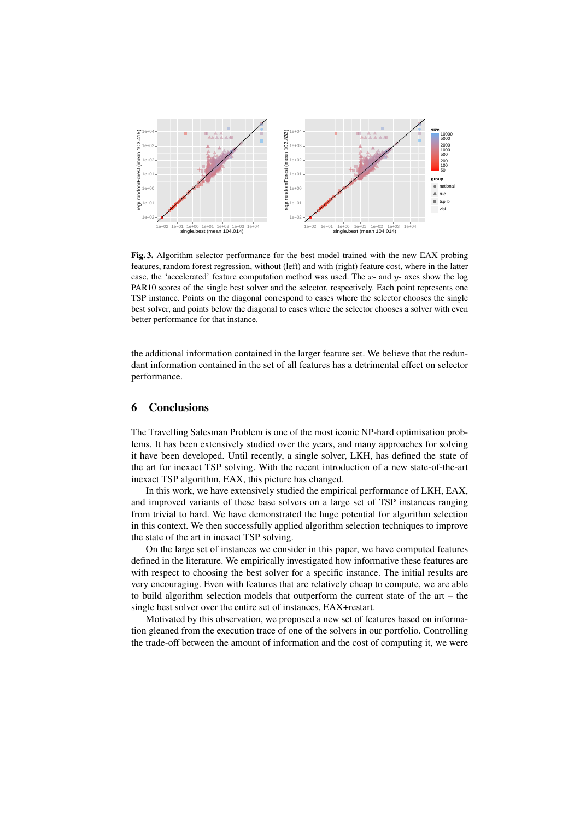

Fig. 3. Algorithm selector performance for the best model trained with the new EAX probing features, random forest regression, without (left) and with (right) feature cost, where in the latter case, the 'accelerated' feature computation method was used. The *x*- and *y*- axes show the log PAR10 scores of the single best solver and the selector, respectively. Each point represents one TSP instance. Points on the diagonal correspond to cases where the selector chooses the single best solver, and points below the diagonal to cases where the selector chooses a solver with even better performance for that instance.

the additional information contained in the larger feature set. We believe that the redundant information contained in the set of all features has a detrimental effect on selector performance.

### 6 Conclusions

The Travelling Salesman Problem is one of the most iconic NP-hard optimisation problems. It has been extensively studied over the years, and many approaches for solving it have been developed. Until recently, a single solver, LKH, has defined the state of the art for inexact TSP solving. With the recent introduction of a new state-of-the-art inexact TSP algorithm, EAX, this picture has changed.

In this work, we have extensively studied the empirical performance of LKH, EAX, and improved variants of these base solvers on a large set of TSP instances ranging from trivial to hard. We have demonstrated the huge potential for algorithm selection in this context. We then successfully applied algorithm selection techniques to improve the state of the art in inexact TSP solving.

On the large set of instances we consider in this paper, we have computed features defined in the literature. We empirically investigated how informative these features are with respect to choosing the best solver for a specific instance. The initial results are very encouraging. Even with features that are relatively cheap to compute, we are able to build algorithm selection models that outperform the current state of the art – the single best solver over the entire set of instances, EAX+restart.

Motivated by this observation, we proposed a new set of features based on information gleaned from the execution trace of one of the solvers in our portfolio. Controlling the trade-off between the amount of information and the cost of computing it, we were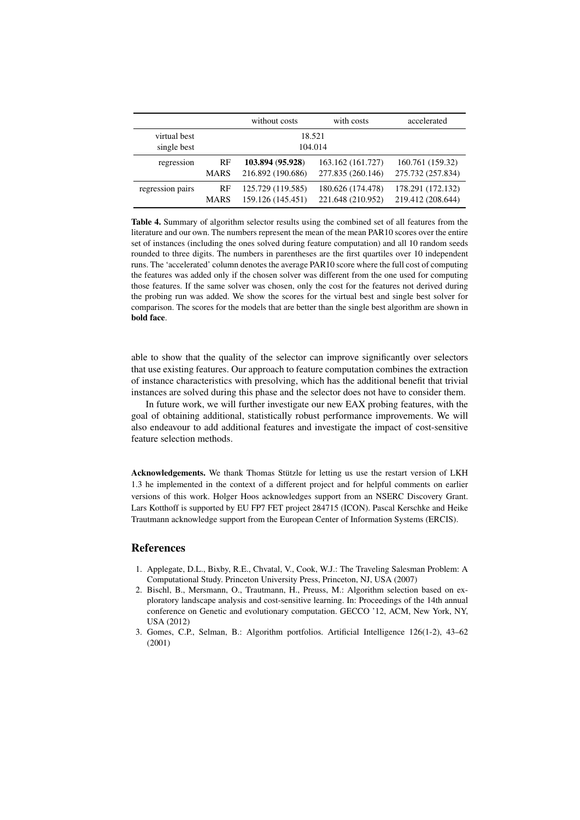|                             |                   | without costs     | with costs        | accelerated       |
|-----------------------------|-------------------|-------------------|-------------------|-------------------|
| virtual best<br>single best | 18.521<br>104.014 |                   |                   |                   |
| regression                  | RF                | 103.894 (95.928)  | 163.162 (161.727) | 160.761 (159.32)  |
|                             | <b>MARS</b>       | 216.892 (190.686) | 277.835 (260.146) | 275.732 (257.834) |
| regression pairs            | RF                | 125.729 (119.585) | 180.626 (174.478) | 178.291 (172.132) |
|                             | <b>MARS</b>       | 159.126 (145.451) | 221.648 (210.952) | 219.412 (208.644) |

Table 4. Summary of algorithm selector results using the combined set of all features from the literature and our own. The numbers represent the mean of the mean PAR10 scores over the entire set of instances (including the ones solved during feature computation) and all 10 random seeds rounded to three digits. The numbers in parentheses are the first quartiles over 10 independent runs. The 'accelerated' column denotes the average PAR10 score where the full cost of computing the features was added only if the chosen solver was different from the one used for computing those features. If the same solver was chosen, only the cost for the features not derived during the probing run was added. We show the scores for the virtual best and single best solver for comparison. The scores for the models that are better than the single best algorithm are shown in bold face.

able to show that the quality of the selector can improve significantly over selectors that use existing features. Our approach to feature computation combines the extraction of instance characteristics with presolving, which has the additional benefit that trivial instances are solved during this phase and the selector does not have to consider them.

In future work, we will further investigate our new EAX probing features, with the goal of obtaining additional, statistically robust performance improvements. We will also endeavour to add additional features and investigate the impact of cost-sensitive feature selection methods.

Acknowledgements. We thank Thomas Stützle for letting us use the restart version of LKH 1.3 he implemented in the context of a different project and for helpful comments on earlier versions of this work. Holger Hoos acknowledges support from an NSERC Discovery Grant. Lars Kotthoff is supported by EU FP7 FET project 284715 (ICON). Pascal Kerschke and Heike Trautmann acknowledge support from the European Center of Information Systems (ERCIS).

#### References

- 1. Applegate, D.L., Bixby, R.E., Chvatal, V., Cook, W.J.: The Traveling Salesman Problem: A Computational Study. Princeton University Press, Princeton, NJ, USA (2007)
- 2. Bischl, B., Mersmann, O., Trautmann, H., Preuss, M.: Algorithm selection based on exploratory landscape analysis and cost-sensitive learning. In: Proceedings of the 14th annual conference on Genetic and evolutionary computation. GECCO '12, ACM, New York, NY, USA (2012)
- 3. Gomes, C.P., Selman, B.: Algorithm portfolios. Artificial Intelligence 126(1-2), 43–62 (2001)